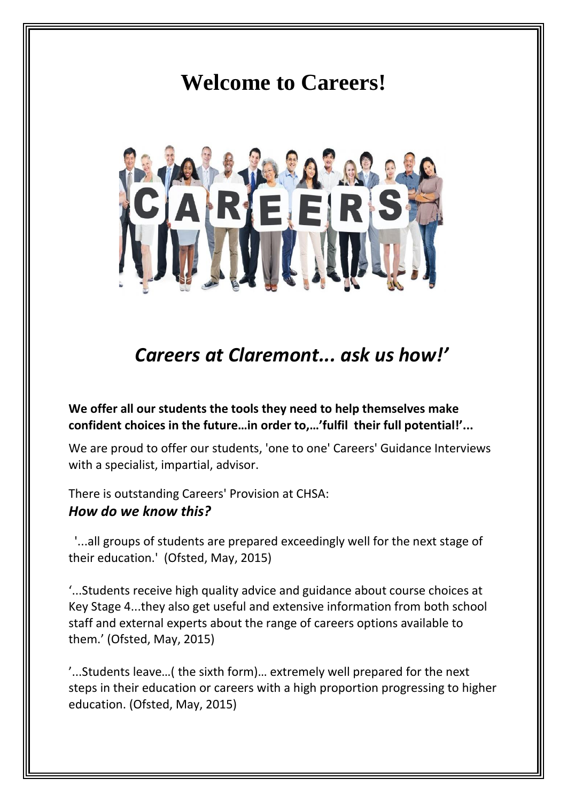## **Welcome to Careers!**



## *Careers at Claremont... ask us how!'*

**We offer all our students the tools they need to help themselves make confident choices in the future…in order to,…'fulfil their full potential!'...**

We are proud to offer our students, 'one to one' Careers' Guidance Interviews with a specialist, impartial, advisor.

There is outstanding Careers' Provision at CHSA: *How do we know this?*

'...all groups of students are prepared exceedingly well for the next stage of their education.' (Ofsted, May, 2015)

'...Students receive high quality advice and guidance about course choices at Key Stage 4...they also get useful and extensive information from both school staff and external experts about the range of careers options available to them.' (Ofsted, May, 2015)

'...Students leave…( the sixth form)… extremely well prepared for the next steps in their education or careers with a high proportion progressing to higher education. (Ofsted, May, 2015)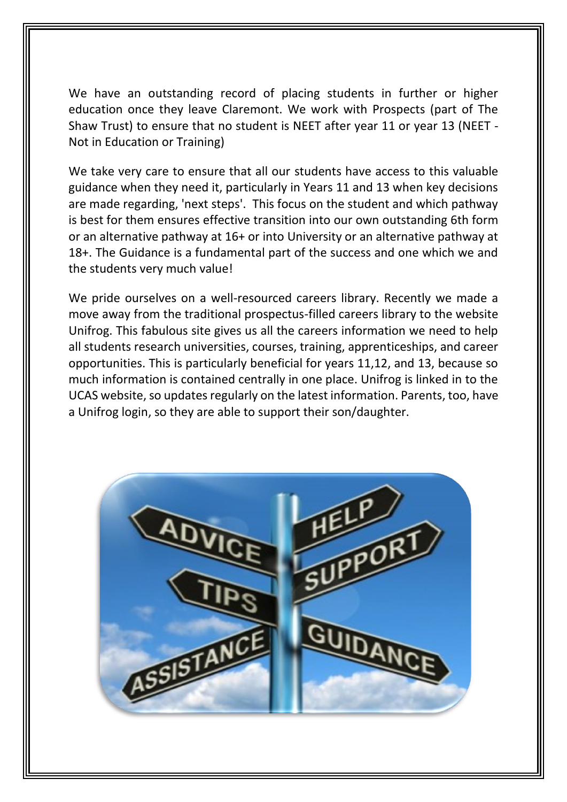We have an outstanding record of placing students in further or higher education once they leave Claremont. We work with Prospects (part of The Shaw Trust) to ensure that no student is NEET after year 11 or year 13 (NEET - Not in Education or Training)

We take very care to ensure that all our students have access to this valuable guidance when they need it, particularly in Years 11 and 13 when key decisions are made regarding, 'next steps'. This focus on the student and which pathway is best for them ensures effective transition into our own outstanding 6th form or an alternative pathway at 16+ or into University or an alternative pathway at 18+. The Guidance is a fundamental part of the success and one which we and the students very much value!

We pride ourselves on a well-resourced careers library. Recently we made a move away from the traditional prospectus-filled careers library to the website Unifrog. This fabulous site gives us all the careers information we need to help all students research universities, courses, training, apprenticeships, and career opportunities. This is particularly beneficial for years 11,12, and 13, because so much information is contained centrally in one place. Unifrog is linked in to the UCAS website, so updates regularly on the latest information. Parents, too, have a Unifrog login, so they are able to support their son/daughter.

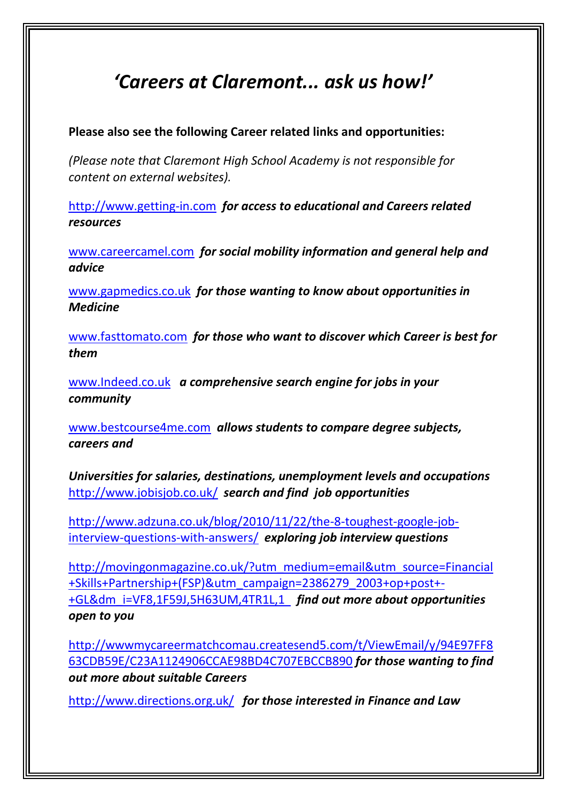## *'Careers at Claremont... ask us how!'*

**Please also see the following Career related links and opportunities:**

*(Please note that Claremont High School Academy is not responsible for content on external websites).*

[http://www.getting-in.com](http://www.getting-in.com/) *for access to educational and Careers related resources*

[www.careercamel.com](http://www.careercamel.com/) *for social mobility information and general help and advice*

[www.gapmedics.co.uk](http://www.gapmedics.co.uk/) *for those wanting to know about opportunities in Medicine*

[www.fasttomato.com](http://www.fasttomato.com/) *for those who want to discover which Career is best for them*

[www.Indeed.co.uk](http://www.indeed.co.uk/) *a comprehensive search engine for jobs in your community*

[www.bestcourse4me.com](http://www.bestcourse4me.com/) *allows students to compare degree subjects, careers and*

*Universities for salaries, destinations, unemployment levels and occupations* <http://www.jobisjob.co.uk/> *search and find job opportunities*

[http://www.adzuna.co.uk/blog/2010/11/22/the-8-toughest-google-job](http://www.adzuna.co.uk/blog/2010/11/22/the-8-toughest-google-job-interview-questions-with-answers/)[interview-questions-with-answers/](http://www.adzuna.co.uk/blog/2010/11/22/the-8-toughest-google-job-interview-questions-with-answers/) *exploring job interview questions*

[http://movingonmagazine.co.uk/?utm\\_medium=email&utm\\_source=Financial](http://movingonmagazine.co.uk/?utm_medium=email&utm_source=Financial+Skills+Partnership+(FSP)&utm_campaign=2386279_2003+op+post+-+GL&dm_i=VF8,1F59J,5H63UM,4TR1L,1) [+Skills+Partnership+\(FSP\)&utm\\_campaign=2386279\\_2003+op+post+-](http://movingonmagazine.co.uk/?utm_medium=email&utm_source=Financial+Skills+Partnership+(FSP)&utm_campaign=2386279_2003+op+post+-+GL&dm_i=VF8,1F59J,5H63UM,4TR1L,1) [+GL&dm\\_i=VF8,1F59J,5H63UM,4TR1L,1](http://movingonmagazine.co.uk/?utm_medium=email&utm_source=Financial+Skills+Partnership+(FSP)&utm_campaign=2386279_2003+op+post+-+GL&dm_i=VF8,1F59J,5H63UM,4TR1L,1) *find out more about opportunities open to you*

[http://wwwmycareermatchcomau.createsend5.com/t/ViewEmail/y/94E97FF8](http://wwwmycareermatchcomau.createsend5.com/t/ViewEmail/y/94E97FF863CDB59E/C23A1124906CCAE98BD4C707EBCCB890) [63CDB59E/C23A1124906CCAE98BD4C707EBCCB890](http://wwwmycareermatchcomau.createsend5.com/t/ViewEmail/y/94E97FF863CDB59E/C23A1124906CCAE98BD4C707EBCCB890) *for those wanting to find out more about suitable Careers*

<http://www.directions.org.uk/>*for those interested in Finance and Law*